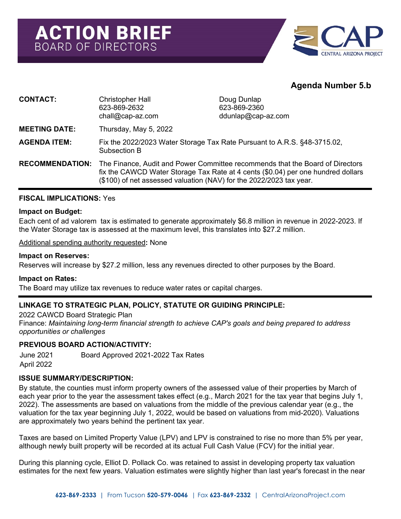

# **Agenda Number 5.b**

| <b>CONTACT:</b>        | <b>Christopher Hall</b><br>623-869-2632<br>$chall@cap-az.com$                                                                                                                                                                            | Doug Dunlap<br>623-869-2360<br>$ddunlap@cap-zz.com$ |
|------------------------|------------------------------------------------------------------------------------------------------------------------------------------------------------------------------------------------------------------------------------------|-----------------------------------------------------|
| <b>MEETING DATE:</b>   | Thursday, May 5, 2022                                                                                                                                                                                                                    |                                                     |
| <b>AGENDA ITEM:</b>    | Fix the 2022/2023 Water Storage Tax Rate Pursuant to A.R.S. §48-3715.02,<br>Subsection B                                                                                                                                                 |                                                     |
| <b>RECOMMENDATION:</b> | The Finance, Audit and Power Committee recommends that the Board of Directors<br>fix the CAWCD Water Storage Tax Rate at 4 cents (\$0.04) per one hundred dollars<br>(\$100) of net assessed valuation (NAV) for the 2022/2023 tax year. |                                                     |

#### **FISCAL IMPLICATIONS:** Yes

#### **Impact on Budget:**

Each cent of ad valorem tax is estimated to generate approximately \$6.8 million in revenue in 2022-2023. If the Water Storage tax is assessed at the maximum level, this translates into \$27.2 million.

Additional spending authority requested**:** None

#### **Impact on Reserves:**

Reserves will increase by \$27.2 million, less any revenues directed to other purposes by the Board.

#### **Impact on Rates:**

The Board may utilize tax revenues to reduce water rates or capital charges.

### **LINKAGE TO STRATEGIC PLAN, POLICY, STATUTE OR GUIDING PRINCIPLE:**

2022 CAWCD Board Strategic Plan Finance: *Maintaining long-term financial strength to achieve CAP's goals and being prepared to address opportunities or challenges*

#### **PREVIOUS BOARD ACTION/ACTIVITY:**

June 2021 Board Approved 2021-2022 Tax Rates April 2022

#### **ISSUE SUMMARY/DESCRIPTION:**

By statute, the counties must inform property owners of the assessed value of their properties by March of each year prior to the year the assessment takes effect (e.g., March 2021 for the tax year that begins July 1, 2022). The assessments are based on valuations from the middle of the previous calendar year (e.g., the valuation for the tax year beginning July 1, 2022, would be based on valuations from mid-2020). Valuations are approximately two years behind the pertinent tax year.

Taxes are based on Limited Property Value (LPV) and LPV is constrained to rise no more than 5% per year, although newly built property will be recorded at its actual Full Cash Value (FCV) for the initial year.

During this planning cycle, Elliot D. Pollack Co. was retained to assist in developing property tax valuation estimates for the next few years. Valuation estimates were slightly higher than last year's forecast in the near